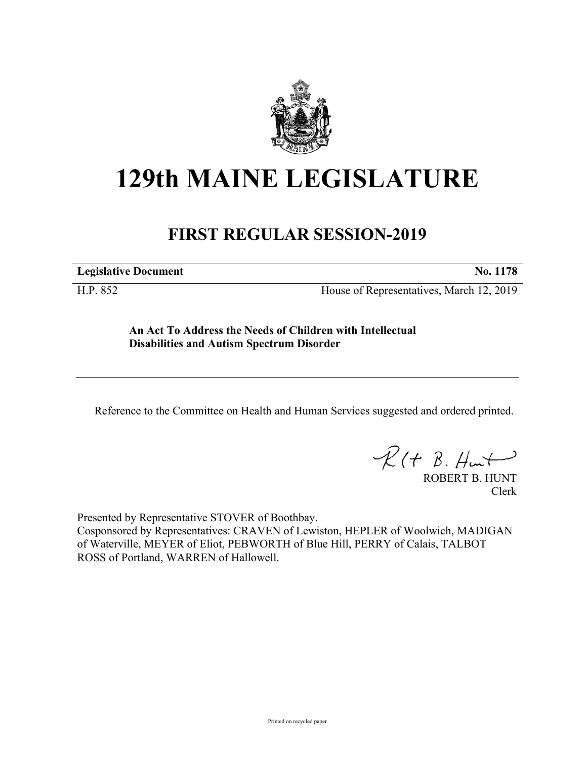

## **129th MAINE LEGISLATURE**

## **FIRST REGULAR SESSION-2019**

**Legislative Document No. 1178**

H.P. 852 House of Representatives, March 12, 2019

**An Act To Address the Needs of Children with Intellectual Disabilities and Autism Spectrum Disorder**

Reference to the Committee on Health and Human Services suggested and ordered printed.

 $R(t B. Hmt)$ 

ROBERT B. HUNT Clerk

Presented by Representative STOVER of Boothbay.

Cosponsored by Representatives: CRAVEN of Lewiston, HEPLER of Woolwich, MADIGAN of Waterville, MEYER of Eliot, PEBWORTH of Blue Hill, PERRY of Calais, TALBOT ROSS of Portland, WARREN of Hallowell.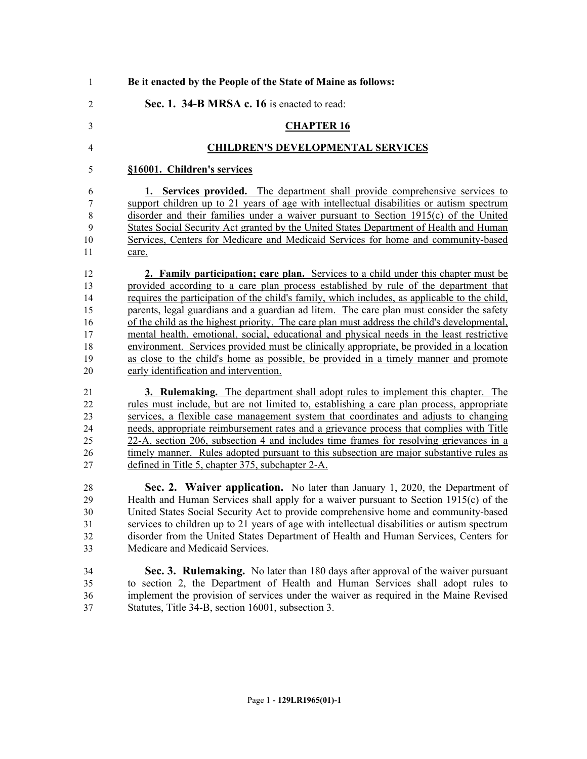| $\mathbf{1}$   | Be it enacted by the People of the State of Maine as follows:                                 |
|----------------|-----------------------------------------------------------------------------------------------|
| $\overline{2}$ | Sec. 1. 34-B MRSA c. 16 is enacted to read:                                                   |
| 3              | <b>CHAPTER 16</b>                                                                             |
| $\overline{4}$ | <b>CHILDREN'S DEVELOPMENTAL SERVICES</b>                                                      |
| 5              | §16001. Children's services                                                                   |
| 6              | 1. Services provided. The department shall provide comprehensive services to                  |
| 7              | support children up to 21 years of age with intellectual disabilities or autism spectrum      |
| 8              | disorder and their families under a waiver pursuant to Section 1915(c) of the United          |
| 9              | States Social Security Act granted by the United States Department of Health and Human        |
| 10             | Services, Centers for Medicare and Medicaid Services for home and community-based             |
| 11             | care.                                                                                         |
| 12             | 2. Family participation; care plan. Services to a child under this chapter must be            |
| 13             | provided according to a care plan process established by rule of the department that          |
| 14             | requires the participation of the child's family, which includes, as applicable to the child, |
| 15             | parents, legal guardians and a guardian ad litem. The care plan must consider the safety      |
| 16             | of the child as the highest priority. The care plan must address the child's developmental,   |
| 17             | mental health, emotional, social, educational and physical needs in the least restrictive     |
| 18             | environment. Services provided must be clinically appropriate, be provided in a location      |
| 19             | as close to the child's home as possible, be provided in a timely manner and promote          |
| 20             | early identification and intervention.                                                        |
| 21             | 3. Rulemaking. The department shall adopt rules to implement this chapter. The                |
| 22             | rules must include, but are not limited to, establishing a care plan process, appropriate     |
| 23             | services, a flexible case management system that coordinates and adjusts to changing          |
| 24             | needs, appropriate reimbursement rates and a grievance process that complies with Title       |
| 25             | 22-A, section 206, subsection 4 and includes time frames for resolving grievances in a        |
| 26             | timely manner. Rules adopted pursuant to this subsection are major substantive rules as       |
| 27             | defined in Title 5, chapter 375, subchapter 2-A.                                              |
| 28             | Sec. 2. Waiver application. No later than January 1, 2020, the Department of                  |
| 29             | Health and Human Services shall apply for a waiver pursuant to Section 1915(c) of the         |
| 30             | United States Social Security Act to provide comprehensive home and community-based           |
| 31             | services to children up to 21 years of age with intellectual disabilities or autism spectrum  |
| 32             | disorder from the United States Department of Health and Human Services, Centers for          |
| 33             | Medicare and Medicaid Services.                                                               |
| 34             | Sec. 3. Rulemaking. No later than 180 days after approval of the waiver pursuant              |
| 35             | to section 2, the Department of Health and Human Services shall adopt rules to                |
| 36             | implement the provision of services under the waiver as required in the Maine Revised         |

Statutes, Title 34-B, section 16001, subsection 3.